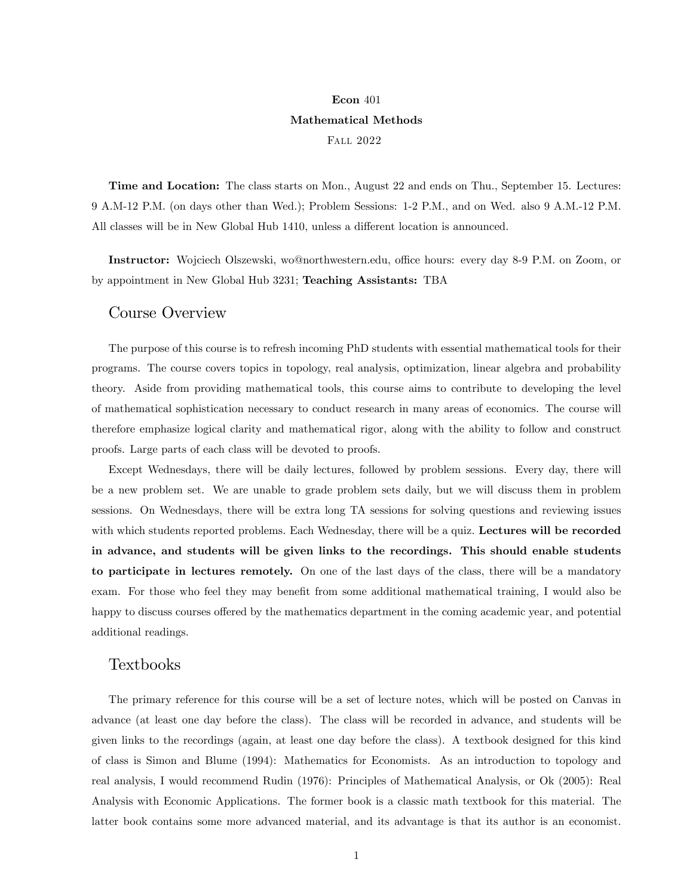## Econ 401 Mathematical Methods Fall 2022

Time and Location: The class starts on Mon., August 22 and ends on Thu., September 15. Lectures: 9 A.M-12 P.M. (on days other than Wed.); Problem Sessions: 1-2 P.M., and on Wed. also 9 A.M.-12 P.M. All classes will be in New Global Hub 1410, unless a different location is announced.

Instructor: Wojciech Olszewski, wo@northwestern.edu, office hours: every day 8-9 P.M. on Zoom, or by appointment in New Global Hub 3231; Teaching Assistants: TBA

## Course Overview

The purpose of this course is to refresh incoming PhD students with essential mathematical tools for their programs. The course covers topics in topology, real analysis, optimization, linear algebra and probability theory. Aside from providing mathematical tools, this course aims to contribute to developing the level of mathematical sophistication necessary to conduct research in many areas of economics. The course will therefore emphasize logical clarity and mathematical rigor, along with the ability to follow and construct proofs. Large parts of each class will be devoted to proofs.

Except Wednesdays, there will be daily lectures, followed by problem sessions. Every day, there will be a new problem set. We are unable to grade problem sets daily, but we will discuss them in problem sessions. On Wednesdays, there will be extra long TA sessions for solving questions and reviewing issues with which students reported problems. Each Wednesday, there will be a quiz. Lectures will be recorded in advance, and students will be given links to the recordings. This should enable students to participate in lectures remotely. On one of the last days of the class, there will be a mandatory exam. For those who feel they may benefit from some additional mathematical training, I would also be happy to discuss courses offered by the mathematics department in the coming academic year, and potential additional readings.

## Textbooks

The primary reference for this course will be a set of lecture notes, which will be posted on Canvas in advance (at least one day before the class). The class will be recorded in advance, and students will be given links to the recordings (again, at least one day before the class). A textbook designed for this kind of class is Simon and Blume (1994): Mathematics for Economists. As an introduction to topology and real analysis, I would recommend Rudin (1976): Principles of Mathematical Analysis, or Ok (2005): Real Analysis with Economic Applications. The former book is a classic math textbook for this material. The latter book contains some more advanced material, and its advantage is that its author is an economist.